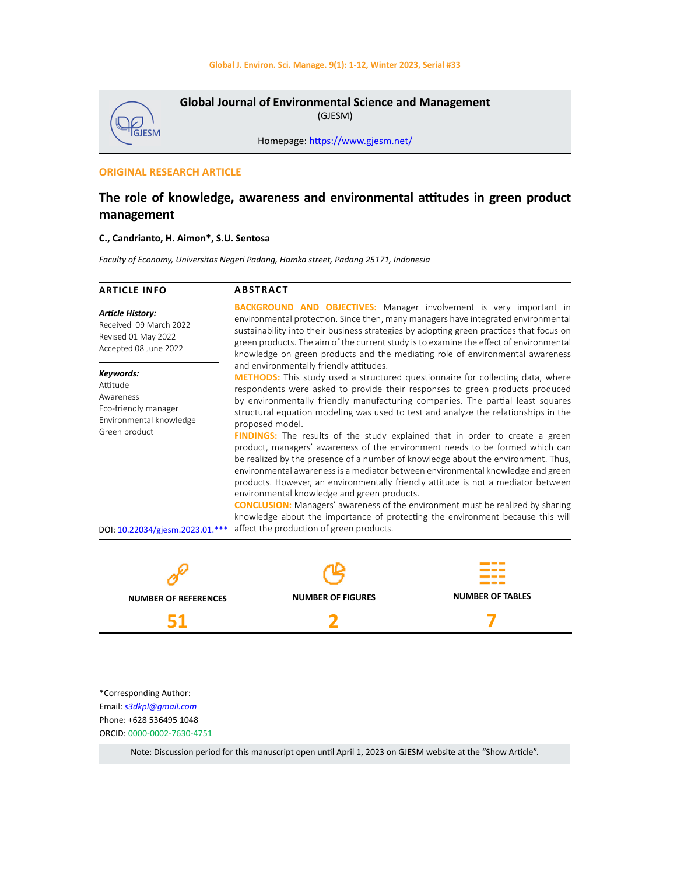

Homepage: [https://www.gjesm.net/](https://www.gjesm.net/ )

# **ORIGINAL RESEARCH ARTICLE**

\*Corresponding Author: Email: *s3dkpl@gmail.com* Phone: +628 536495 1048 ORCID: 0000-0002-7630-4751

**51**

# **The role of knowledge, awareness and environmental attitudes in green product management**

# **C., Candrianto, H. Aimon\*, S.U. Sentosa**

*Faculty of Economy, Universitas Negeri Padang, Hamka street, Padang 25171, Indonesia*

| <b>ARTICLE INFO</b>                                                                               | <b>ABSTRACT</b>                                                                                                                                                                                                                                                                                                                                                                                                                                                                 |                         |
|---------------------------------------------------------------------------------------------------|---------------------------------------------------------------------------------------------------------------------------------------------------------------------------------------------------------------------------------------------------------------------------------------------------------------------------------------------------------------------------------------------------------------------------------------------------------------------------------|-------------------------|
| <b>Article History:</b><br>Received 09 March 2022<br>Revised 01 May 2022<br>Accepted 08 June 2022 | <b>BACKGROUND AND OBJECTIVES:</b> Manager involvement is very important in<br>environmental protection. Since then, many managers have integrated environmental<br>sustainability into their business strategies by adopting green practices that focus on<br>green products. The aim of the current study is to examine the effect of environmental<br>knowledge on green products and the mediating role of environmental awareness                                           |                         |
| Keywords:<br>Attitude<br>Awareness<br>Eco-friendly manager<br>Environmental knowledge             | and environmentally friendly attitudes.<br><b>METHODS:</b> This study used a structured questionnaire for collecting data, where<br>respondents were asked to provide their responses to green products produced<br>by environmentally friendly manufacturing companies. The partial least squares<br>structural equation modeling was used to test and analyze the relationships in the<br>proposed model.                                                                     |                         |
| Green product                                                                                     | <b>FINDINGS:</b> The results of the study explained that in order to create a green<br>product, managers' awareness of the environment needs to be formed which can<br>be realized by the presence of a number of knowledge about the environment. Thus,<br>environmental awareness is a mediator between environmental knowledge and green<br>products. However, an environmentally friendly attitude is not a mediator between<br>environmental knowledge and green products. |                         |
|                                                                                                   | <b>CONCLUSION:</b> Managers' awareness of the environment must be realized by sharing<br>knowledge about the importance of protecting the environment because this will                                                                                                                                                                                                                                                                                                         |                         |
| DOI: 10.22034/gjesm.2023.01.***                                                                   | affect the production of green products.                                                                                                                                                                                                                                                                                                                                                                                                                                        |                         |
|                                                                                                   |                                                                                                                                                                                                                                                                                                                                                                                                                                                                                 |                         |
| NUMBER OF REFERENCES                                                                              | <b>NUMBER OF FIGURES</b>                                                                                                                                                                                                                                                                                                                                                                                                                                                        | <b>NUMBER OF TABLES</b> |

Note: Discussion period for this manuscript open until April 1, 2023 on GJESM website at the "Show Article".

**2**

**7**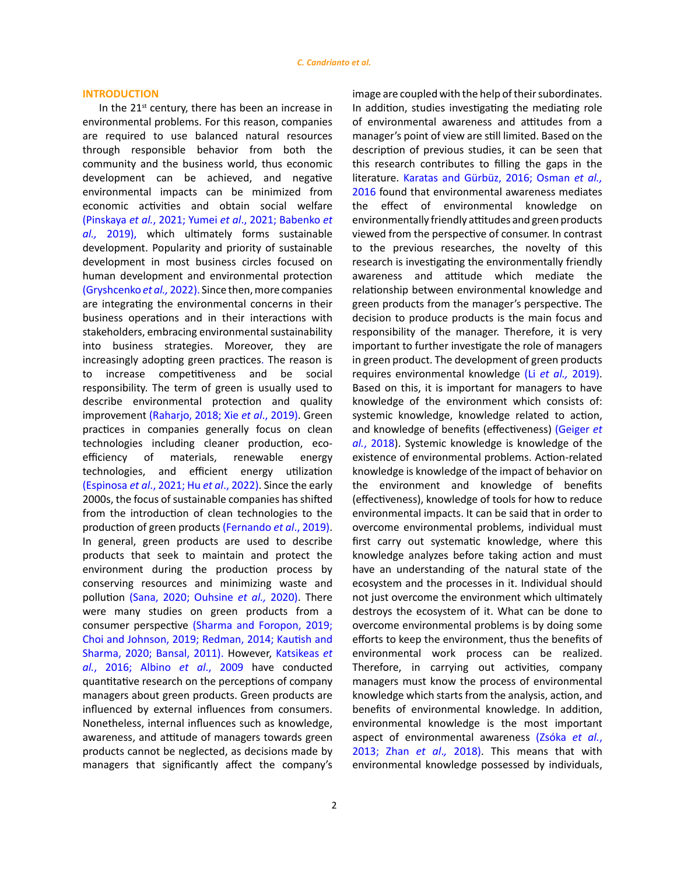## **INTRODUCTION**

In the  $21^{st}$  century, there has been an increase in environmental problems. For this reason, companies are required to use balanced natural resources through responsible behavior from both the community and the business world, thus economic development can be achieved, and negative environmental impacts can be minimized from economic activities and obtain social welfare (Pinskaya *et al.*[, 2021; Yumei](#page-10-0) *et al*., 2021; [Babenko](#page-9-0) *et al.,* [2019\)](#page-9-0), which ultimately forms sustainable development. Popularity and priority of sustainable development in most business circles focused on human development and environmental protection [\(Gryshcenko](#page-9-0) *et al.,* 2022). Since then, more companies are integrating the environmental concerns in their business operations and in their interactions with stakeholders, embracing environmental sustainability into business strategies. Moreover, they are increasingly adopting green practices. The reason is to increase competitiveness and be social responsibility. The term of green is usually used to describe environmental protection and quality improvement [\(Raharjo, 2018; Xie](#page-10-0) *et al*., 2019). Green practices in companies generally focus on clean technologies including cleaner production, ecoefficiency of materials, renewable energy technologies, and efficient energy utilization [\(Espinosa](#page-9-0) *et al*., 2021; Hu *et al*[., 2022\)](#page-10-0). Since the early 2000s, the focus of sustainable companies has shifted from the introduction of clean technologies to the production of green products [\(Fernando](#page-9-0) *et al*., 2019). In general, green products are used to describe products that seek to maintain and protect the environment during the production process by conserving resources and minimizing waste and pollution [\(Sana, 2020; Ouhsine](#page-10-0) *et al.,* 2020). There were many studies on green products from a consumer perspective [\(Sharma and Foropon, 2019;](#page-10-0)  [Choi and Johnson, 2019;](#page-9-0) [Redman, 2014; Kautish and](#page-10-0)  [Sharma, 2020;](#page-10-0) [Bansal, 2011\).](#page-9-0) However, [Katsikeas](#page-10-0) *et al.*[, 2016;](#page-10-0) Albino *et al*[., 2009](#page-9-0) have conducted quantitative research on the perceptions of company managers about green products. Green products are influenced by external influences from consumers. Nonetheless, internal influences such as knowledge, awareness, and attitude of managers towards green products cannot be neglected, as decisions made by managers that significantly affect the company's image are coupled with the help of their subordinates. In addition, studies investigating the mediating role of environmental awareness and attitudes from a manager's point of view are still limited. Based on the description of previous studies, it can be seen that this research contributes to filling the gaps in the literature. [Karatas and Gürbüz, 2016; Osman](#page-10-0) *et al.,*  [2016](#page-10-0) found that environmental awareness mediates the effect of environmental knowledge on environmentally friendly attitudes and green products viewed from the perspective of consumer. In contrast to the previous researches, the novelty of this research is investigating the environmentally friendly awareness and attitude which mediate the relationship between environmental knowledge and green products from the manager's perspective. The decision to produce products is the main focus and responsibility of the manager. Therefore, it is very important to further investigate the role of managers in green product. The development of green products requires environmental knowledge (Li *[et al.,](#page-10-0)* 2019). Based on this, it is important for managers to have knowledge of the environment which consists of: systemic knowledge, knowledge related to action, and knowledge of benefits (effectiveness) [\(Geiger](#page-9-0) *et al.*[, 2018\).](#page-9-0) Systemic knowledge is knowledge of the existence of environmental problems. Action-related knowledge is knowledge of the impact of behavior on the environment and knowledge of benefits (effectiveness), knowledge of tools for how to reduce environmental impacts. It can be said that in order to overcome environmental problems, individual must first carry out systematic knowledge, where this knowledge analyzes before taking action and must have an understanding of the natural state of the ecosystem and the processes in it. Individual should not just overcome the environment which ultimately destroys the ecosystem of it. What can be done to overcome environmental problems is by doing some efforts to keep the environment, thus the benefits of environmental work process can be realized. Therefore, in carrying out activities, company managers must know the process of environmental knowledge which starts from the analysis, action, and benefits of environmental knowledge. In addition, environmental knowledge is the most important aspect of environmental awareness [\(Zsóka](#page-10-0) *et al.*, [2013; Zhan](#page-10-0) *et al*.*,* 2018). This means that with environmental knowledge possessed by individuals,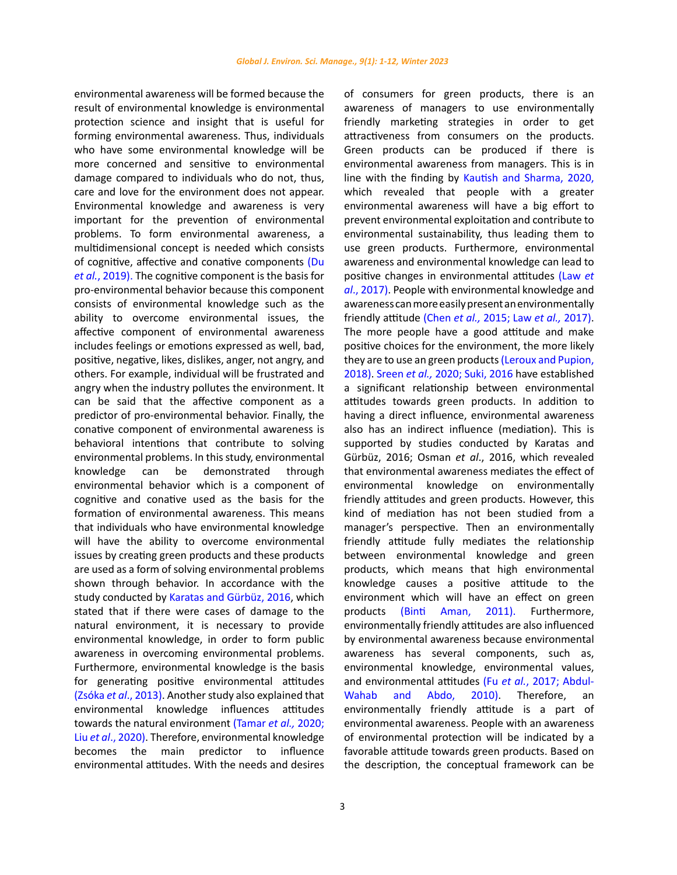environmental awareness will be formed because the result of environmental knowledge is environmental protection science and insight that is useful for forming environmental awareness. Thus, individuals who have some environmental knowledge will be more concerned and sensitive to environmental damage compared to individuals who do not, thus, care and love for the environment does not appear. Environmental knowledge and awareness is very important for the prevention of environmental problems. To form environmental awareness, a multidimensional concept is needed which consists of cognitive, affective and conative components [\(Du](#page-9-0)  *et al.*[, 2019\).](#page-9-0) The cognitive component is the basis for pro-environmental behavior because this component consists of environmental knowledge such as the ability to overcome environmental issues, the affective component of environmental awareness includes feelings or emotions expressed as well, bad, positive, negative, likes, dislikes, anger, not angry, and others. For example, individual will be frustrated and angry when the industry pollutes the environment. It can be said that the affective component as a predictor of pro-environmental behavior. Finally, the conative component of environmental awareness is behavioral intentions that contribute to solving environmental problems. In this study, environmental knowledge can be demonstrated through environmental behavior which is a component of cognitive and conative used as the basis for the formation of environmental awareness. This means that individuals who have environmental knowledge will have the ability to overcome environmental issues by creating green products and these products are used as a form of solving environmental problems shown through behavior. In accordance with the study conducted by [Karatas and Gürbüz, 2016,](#page-10-0) which stated that if there were cases of damage to the natural environment, it is necessary to provide environmental knowledge, in order to form public awareness in overcoming environmental problems. Furthermore, environmental knowledge is the basis for generating positive environmental attitudes (Zsóka *et al*[., 2013\)](#page-10-0). Another study also explained that environmental knowledge influences attitudes towards the natural environment [\(Tamar](#page-10-0) *et al.,* 2020; Liu *et al*[., 2020\).](#page-10-0) Therefore, environmental knowledge becomes the main predictor to influence environmental attitudes. With the needs and desires

of consumers for green products, there is an awareness of managers to use environmentally friendly marketing strategies in order to get attractiveness from consumers on the products. Green products can be produced if there is environmental awareness from managers. This is in line with the finding by [Kautish and Sharma, 2020,](#page-10-0) which revealed that people with a greater environmental awareness will have a big effort to prevent environmental exploitation and contribute to environmental sustainability, thus leading them to use green products. Furthermore, environmental awareness and environmental knowledge can lead to positive changes in environmental attitudes [\(Law](#page-10-0) *et al*[., 2017\)](#page-10-0). People with environmental knowledge and awareness can more easily present an environmentally friendly attitude (Chen *et al.,* [2015; L](#page-9-0)aw *et al.,* [2017\)](#page-10-0). The more people have a good attitude and make positive choices for the environment, the more likely they are to use an green products [\(Leroux and Pupion,](#page-10-0) 2018). Sreen *et al.,* [2020; Suki, 2016](#page-10-0) have established a significant relationship between environmental attitudes towards green products. In addition to having a direct influence, environmental awareness also has an indirect influence (mediation). This is supported by studies conducted by Karatas and Gürbüz, 2016; Osman *et al*., 2016, which revealed that environmental awareness mediates the effect of environmental knowledge on environmentally friendly attitudes and green products. However, this kind of mediation has not been studied from a manager's perspective. Then an environmentally friendly attitude fully mediates the relationship between environmental knowledge and green products, which means that high environmental knowledge causes a positive attitude to the environment which will have an effect on green products [\(Binti Aman, 2011\).](#page-9-0) Furthermore, environmentally friendly attitudes are also influenced by environmental awareness because environmental awareness has several components, such as, environmental knowledge, environmental values, and environmental attitudes (Fu *et al.*[, 2017; Abdul-](#page-9-0)[Wahab and Abdo, 2010\).](#page-9-0) Therefore, an environmentally friendly attitude is a part of environmental awareness. People with an awareness of environmental protection will be indicated by a favorable attitude towards green products. Based on the description, the conceptual framework can be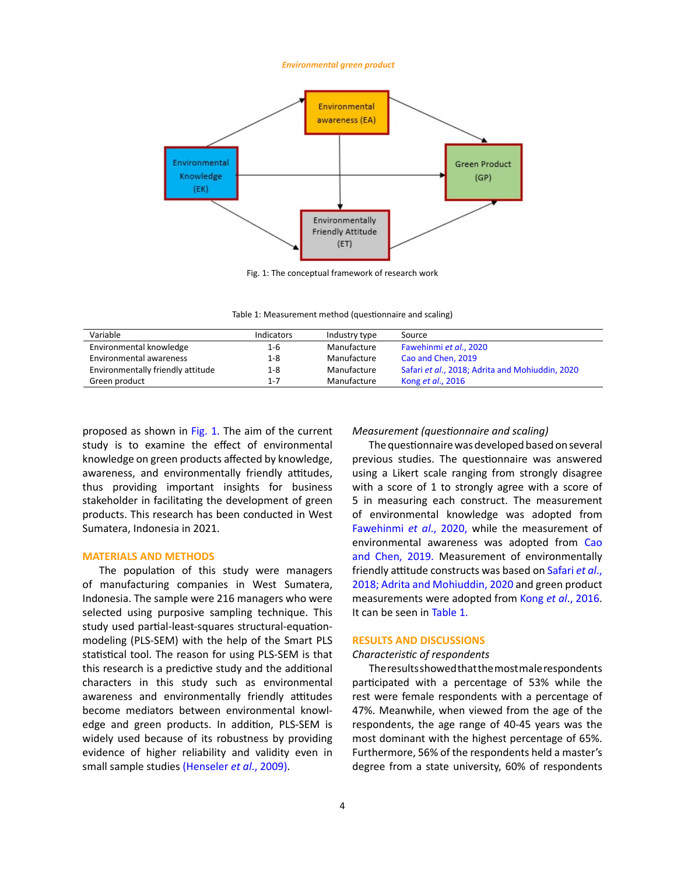#### *Environmental green product*

<span id="page-3-0"></span>

Fig. 1: The conceptual framework of research work

Fig. 1: The conceptual framework of research work Table 1: Measurement method (questionnaire and scaling) Table 1: Measurement method (questionnaire and scaling)

| Variable                          | Indicators | Industry type | Source                                          |
|-----------------------------------|------------|---------------|-------------------------------------------------|
| Environmental knowledge           | $1 - 6$    | Manufacture   | Fawehinmi et al., 2020                          |
| Environmental awareness           | $1 - 8$    | Manufacture   | Cao and Chen. 2019                              |
| Environmentally friendly attitude | $1 - 8$    | Manufacture   | Safari et al., 2018; Adrita and Mohiuddin, 2020 |
| Green product                     | $1 - 7$    | Manufacture   | Kong et al., 2016                               |

proposed as shown in [Fig. 1.](#page-3-0) The aim of the current study is to examine the effect of environmental knowledge on green products affected by knowledge, awareness, and environmentally friendly attitudes, thus providing important insights for business stakeholder in facilitating the development of green products. This research has been conducted in West Sumatera, Indonesia in 2021.

## **MATERIALS AND METHODS**

The population of this study were managers of manufacturing companies in West Sumatera, Indonesia. The sample were 216 managers who were selected using purposive sampling technique. This study used partial-least-squares structural-equationmodeling (PLS-SEM) with the help of the Smart PLS statistical tool. The reason for using PLS-SEM is that this research is a predictive study and the additional characters in this study such as environmental awareness and environmentally friendly attitudes become mediators between environmental knowledge and green products. In addition, PLS-SEM is widely used because of its robustness by providing evidence of higher reliability and validity even in small sample studies [\(Henseler](#page-10-0) *et al*., 2009).

#### *Measurement (questionnaire and scaling)*

The questionnaire was developed based on several previous studies. The questionnaire was answered using a Likert scale ranging from strongly disagree with a score of 1 to strongly agree with a score of 5 in measuring each construct. The measurement of environmental knowledge was adopted from [Fawehinmi](#page-10-0) *et al*., 2020, while the measurement of environmental awareness was adopted from [Cao](#page-9-0) [and Chen, 2019.](#page-9-0) Measurement of environmentally friendly attitude constructs was based on [Safari](#page-10-0) *et al*., [2018;](#page-10-0) [Adrita and Mohiuddin, 2020](#page-9-0) and green product measurements were adopted from Kong *et al*[., 2016.](#page-10-0) It can be seen in Table 1.

## **RESULTS AND DISCUSSIONS**

# *Characteristic of respondents*

The results showed that the most male respondents participated with a percentage of 53% while the rest were female respondents with a percentage of 47%. Meanwhile, when viewed from the age of the respondents, the age range of 40-45 years was the most dominant with the highest percentage of 65%. Furthermore, 56% of the respondents held a master's degree from a state university, 60% of respondents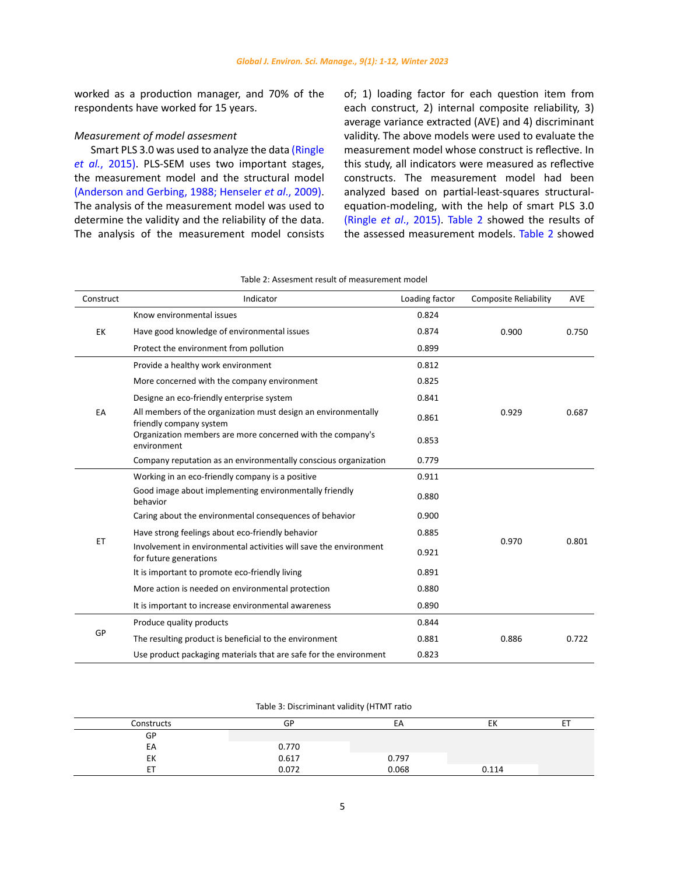worked as a production manager, and 70% of the respondents have worked for 15 years.

# *Measurement of model assesment*

Smart PLS 3.0 was used to analyze the data [\(Ringle](#page-10-0)  *et al.*[, 2015\)](#page-10-0). PLS-SEM uses two important stages, the measurement model and the structural model [\(Anderson and Gerbing, 1988;](#page-9-0) [Henseler](#page-10-0) *et al*., 2009). The analysis of the measurement model was used to determine the validity and the reliability of the data. The analysis of the measurement model consists of; 1) loading factor for each question item from each construct, 2) internal composite reliability, 3) average variance extracted (AVE) and 4) discriminant validity. The above models were used to evaluate the measurement model whose construct is reflective. In this study, all indicators were measured as reflective constructs. The measurement model had been analyzed based on partial-least-squares structuralequation-modeling, with the help of smart PLS 3.0 (Ringle *et al*[., 2015\).](#page-10-0) Table 2 showed the results of the assessed measurement models. Table 2 showed

| Construct | Indicator                                                                                   | Loading factor | <b>Composite Reliability</b> | <b>AVE</b> |
|-----------|---------------------------------------------------------------------------------------------|----------------|------------------------------|------------|
|           | Know environmental issues                                                                   | 0.824          |                              |            |
| EK        | Have good knowledge of environmental issues                                                 | 0.874          | 0.900                        | 0.750      |
|           | Protect the environment from pollution                                                      | 0.899          |                              |            |
|           | Provide a healthy work environment                                                          | 0.812          |                              |            |
|           | More concerned with the company environment                                                 | 0.825          |                              |            |
|           | Designe an eco-friendly enterprise system                                                   | 0.841          |                              |            |
| EA        | All members of the organization must design an environmentally<br>friendly company system   | 0.861          | 0.929                        | 0.687      |
|           | Organization members are more concerned with the company's<br>environment                   | 0.853          |                              |            |
|           | Company reputation as an environmentally conscious organization                             | 0.779          |                              |            |
|           | Working in an eco-friendly company is a positive                                            | 0.911          |                              |            |
|           | Good image about implementing environmentally friendly<br>behavior                          | 0.880          |                              |            |
| ET        | Caring about the environmental consequences of behavior                                     | 0.900          |                              |            |
|           | Have strong feelings about eco-friendly behavior                                            | 0.885          |                              |            |
|           | Involvement in environmental activities will save the environment<br>for future generations | 0.921          | 0.970                        | 0.801      |
|           | It is important to promote eco-friendly living                                              | 0.891          |                              |            |
|           | More action is needed on environmental protection                                           | 0.880          |                              |            |
|           | It is important to increase environmental awareness                                         | 0.890          |                              |            |
|           | Produce quality products                                                                    | 0.844          |                              |            |
| GP        | The resulting product is beneficial to the environment                                      | 0.881          | 0.886                        | 0.722      |
|           | Use product packaging materials that are safe for the environment                           | 0.823          |                              |            |

# Table 2: Assesment result of measurement model Table 2: Assesment result of measurement model

Table 3: Discriminant validity (HTMT ratio) Table 3: Discriminant validity (HTMT ratio

| Constructs | GP    | EA    | EK    |  |
|------------|-------|-------|-------|--|
| GP         |       |       |       |  |
| EA         | 0.770 |       |       |  |
| EK         | 0.617 | 0.797 |       |  |
| ET         | 0.072 | 0.068 | 0.114 |  |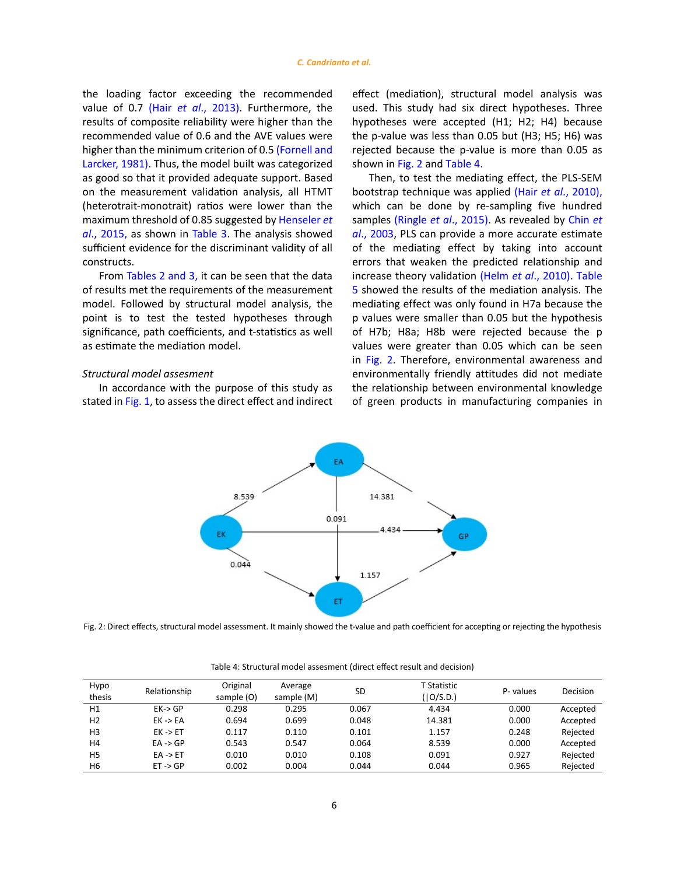the loading factor exceeding the recommended value of 0.7 (Hair *et al*[., 2013\).](#page-10-0) Furthermore, the results of composite reliability were higher than the recommended value of 0.6 and the AVE values were higher than the minimum criterion of 0.5 [\(Fornell and](#page-9-0)  [Larcker, 1981\).](#page-9-0) Thus, the model built was categorized as good so that it provided adequate support. Based on the measurement validation analysis, all HTMT (heterotrait-monotrait) ratios were lower than the maximum threshold of 0.85 suggested by [Henseler](#page-10-0) *et al*[., 2015,](#page-10-0) as shown in Table 3. The analysis showed sufficient evidence for the discriminant validity of all constructs.

From Tables 2 and 3, it can be seen that the data of results met the requirements of the measurement model. Followed by structural model analysis, the point is to test the tested hypotheses through significance, path coefficients, and t-statistics as well as estimate the mediation model.

# *Structural model assesment*

In accordance with the purpose of this study as stated in [Fig. 1,](#page-3-0) to assess the direct effect and indirect effect (mediation), structural model analysis was used. This study had six direct hypotheses. Three hypotheses were accepted (H1; H2; H4) because the p-value was less than 0.05 but (H3; H5; H6) was rejected because the p-value is more than 0.05 as shown in [Fig. 2](#page-5-0) and Table 4.

Then, to test the mediating effect, the PLS-SEM bootstrap technique was applied (Hair *et al*[., 2010\),](#page-10-0) which can be done by re-sampling five hundred samples (Ringle *et al*[., 2015\).](#page-10-0) As revealed by [Chin](#page-9-0) *et al*[., 2003](#page-9-0), PLS can provide a more accurate estimate of the mediating effect by taking into account errors that weaken the predicted relationship and increase theory validation (Helm *et al*[., 2010\).](#page-10-0) Table 5 showed the results of the mediation analysis. The mediating effect was only found in H7a because the p values were smaller than 0.05 but the hypothesis of H7b; H8a; H8b were rejected because the p values were greater than 0.05 which can be seen in [Fig. 2](#page-5-0). Therefore, environmental awareness and environmentally friendly attitudes did not mediate the relationship between environmental knowledge of green products in manufacturing companies in

<span id="page-5-0"></span>

Fig. 2: Direct effects, structural model assessment. It mainly showed the t-value and path coefficient for accepting or rejecting the hypothesis

| Hypo<br>thesis | Relationship        | Original<br>sample (O) | Average<br>sample (M) | <b>SD</b> | T Statistic<br>(10/S.D.) | P-values | Decision |
|----------------|---------------------|------------------------|-----------------------|-----------|--------------------------|----------|----------|
| H1             | $EK \rightarrow GP$ | 0.298                  | 0.295                 | 0.067     | 4.434                    | 0.000    | Accepted |
| H <sub>2</sub> | $EK \rightarrow EA$ | 0.694                  | 0.699                 | 0.048     | 14.381                   | 0.000    | Accepted |
| H <sub>3</sub> | $EK \rightarrow ET$ | 0.117                  | 0.110                 | 0.101     | 1.157                    | 0.248    | Rejected |
| H4             | $EA \rightarrow GP$ | 0.543                  | 0.547                 | 0.064     | 8.539                    | 0.000    | Accepted |
| H <sub>5</sub> | $EA \rightarrow ET$ | 0.010                  | 0.010                 | 0.108     | 0.091                    | 0.927    | Rejected |
| H6             | $ET \rightarrow GP$ | 0.002                  | 0.004                 | 0.044     | 0.044                    | 0.965    | Rejected |

Table 4: Structural model assesment (direct effect result and decision)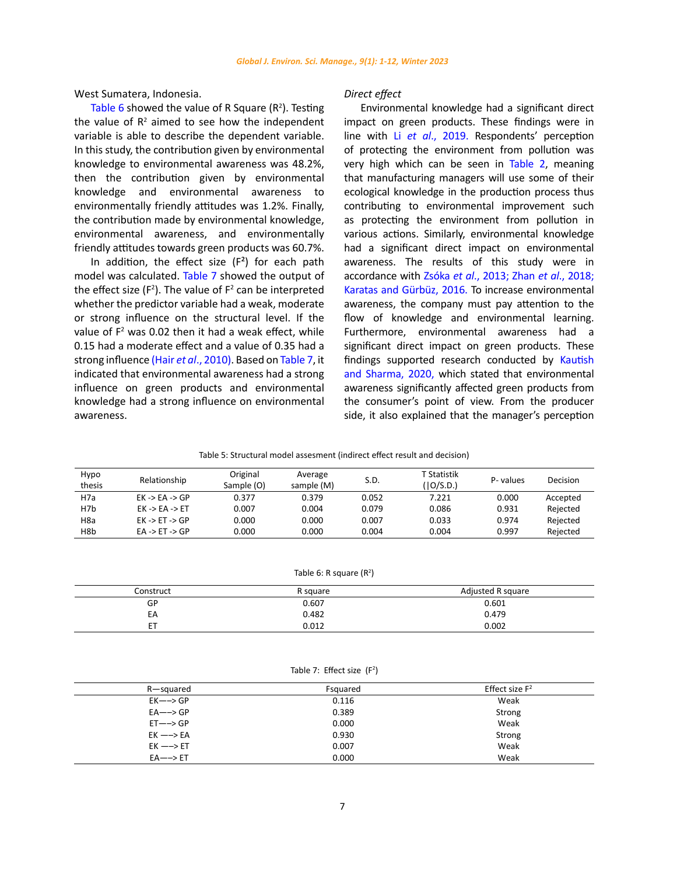West Sumatera, Indonesia.

Table 6 showed the value of R Square  $(R^2)$ . Testing the value of  $R^2$  aimed to see how the independent variable is able to describe the dependent variable. In this study, the contribution given by environmental knowledge to environmental awareness was 48.2%, then the contribution given by environmental knowledge and environmental awareness to environmentally friendly attitudes was 1.2%. Finally, the contribution made by environmental knowledge, environmental awareness, and environmentally friendly attitudes towards green products was 60.7%.

In addition, the effect size  $(F^2)$  for each path model was calculated. Table 7 showed the output of the effect size ( $F^2$ ). The value of  $F^2$  can be interpreted whether the predictor variable had a weak, moderate or strong influence on the structural level. If the value of  $F<sup>2</sup>$  was 0.02 then it had a weak effect, while 0.15 had a moderate effect and a value of 0.35 had a strong influence (Hair *et al*[., 2010\).](#page-10-0) Based on Table 7, it indicated that environmental awareness had a strong influence on green products and environmental knowledge had a strong influence on environmental awareness.

### *Direct effect*

Environmental knowledge had a significant direct impact on green products. These findings were in line with Li *et al*[., 2019.](#page-10-0) Respondents' perception of protecting the environment from pollution was very high which can be seen in Table 2, meaning that manufacturing managers will use some of their ecological knowledge in the production process thus contributing to environmental improvement such as protecting the environment from pollution in various actions. Similarly, environmental knowledge had a significant direct impact on environmental awareness. The results of this study were in accordance with Zsóka *et al*[., 2013; Zhan](#page-10-0) *et al*., 2018; [Karatas and Gürbüz, 2016](#page-10-0). To increase environmental awareness, the company must pay attention to the flow of knowledge and environmental learning. Furthermore, environmental awareness had a significant direct impact on green products. These findings supported research conducted by [Kautish](#page-10-0) [and Sharma, 2020,](#page-10-0) which stated that environmental awareness significantly affected green products from the consumer's point of view. From the producer side, it also explained that the manager's perception

Table 5: Structural model assesment (indirect effect result and decision) Table 5: Structural model assesment (indirect effect result and decision)

| Hypo<br>thesis | Relationship                       | Original<br>Sample (O) | Average<br>sample (M) | S.D.  | T Statistik<br>(10/S.D.) | P-values | Decision |
|----------------|------------------------------------|------------------------|-----------------------|-------|--------------------------|----------|----------|
| H7a            | $EK -> EA -> GP$                   | 0.377                  | 0.379                 | 0.052 | 7.221                    | 0.000    | Accepted |
| H7b            | $EK -> EA -> ET$                   | 0.007                  | 0.004                 | 0.079 | 0.086                    | 0.931    | Rejected |
| H8a            | $EK \rightarrow ET \rightarrow GP$ | 0.000                  | 0.000                 | 0.007 | 0.033                    | 0.974    | Rejected |
| H8b            | $EA \rightarrow ET \rightarrow GP$ | 0.000                  | 0.000                 | 0.004 | 0.004                    | 0.997    | Rejected |

Table 6: R square  $(R^2)$ 

| Construct | R square | Adjusted R square |
|-----------|----------|-------------------|
| GP        | 0.607    | 0.601             |
| EА        | 0.482    | 0.479             |
| ЕT        | 0.012    | 0.002             |

Table 7: Effect size (F<sup>2</sup>)

| R-squared           | Fsquared | Effect size $F^2$ |
|---------------------|----------|-------------------|
| $EK \rightarrow$ GP | 0.116    | Weak              |
| $EA \rightarrow GP$ | 0.389    | Strong            |
| $ET \rightarrow GP$ | 0.000    | Weak              |
| $EK \rightarrow$ EA | 0.930    | Strong            |
| $EK \rightarrow F$  | 0.007    | Weak              |
| $EA \rightarrow ET$ | 0.000    | Weak              |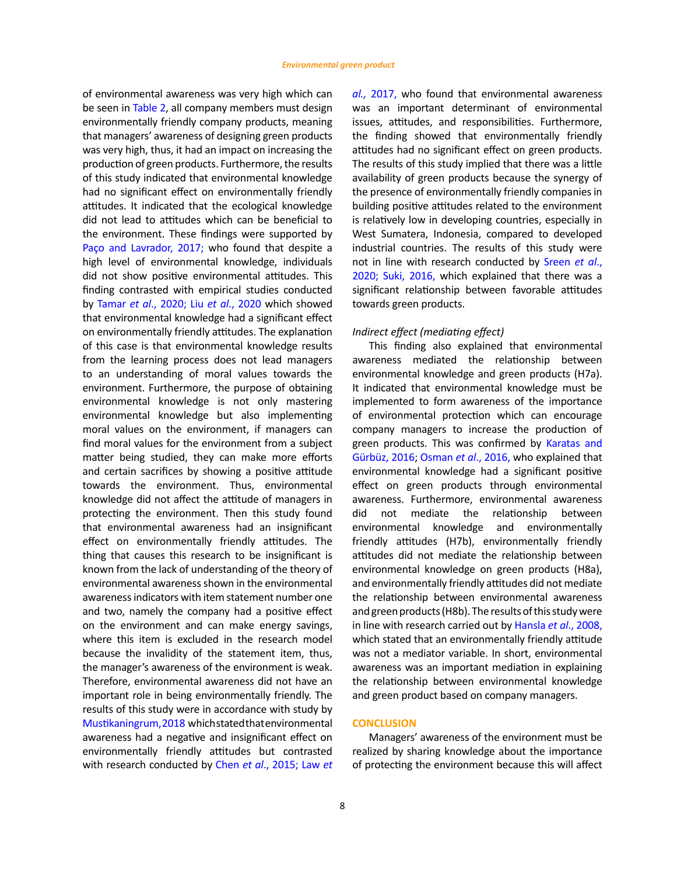of environmental awareness was very high which can be seen in Table 2, all company members must design environmentally friendly company products, meaning that managers' awareness of designing green products was very high, thus, it had an impact on increasing the production of green products. Furthermore, the results of this study indicated that environmental knowledge had no significant effect on environmentally friendly attitudes. It indicated that the ecological knowledge did not lead to attitudes which can be beneficial to the environment. These findings were supported by [Paço and Lavrador, 2017](#page-10-0); who found that despite a high level of environmental knowledge, individuals did not show positive environmental attitudes. This finding contrasted with empirical studies conducted by Tamar *et al*[., 2020; Liu](#page-10-0) *et al*., 2020 which showed that environmental knowledge had a significant effect on environmentally friendly attitudes. The explanation of this case is that environmental knowledge results from the learning process does not lead managers to an understanding of moral values towards the environment. Furthermore, the purpose of obtaining environmental knowledge is not only mastering environmental knowledge but also implementing moral values on the environment, if managers can find moral values for the environment from a subject matter being studied, they can make more efforts and certain sacrifices by showing a positive attitude towards the environment. Thus, environmental knowledge did not affect the attitude of managers in protecting the environment. Then this study found that environmental awareness had an insignificant effect on environmentally friendly attitudes. The thing that causes this research to be insignificant is known from the lack of understanding of the theory of environmental awareness shown in the environmental awareness indicators with item statement number one and two, namely the company had a positive effect on the environment and can make energy savings, where this item is excluded in the research model because the invalidity of the statement item, thus, the manager's awareness of the environment is weak. Therefore, environmental awareness did not have an important role in being environmentally friendly. The results of this study were in accordance with study by [Mustikaningrum, 2018](#page-10-0) which stated that environmental awareness had a negative and insignificant effect on environmentally friendly attitudes but contrasted with research conducted by Chen *et al*[., 2015;](#page-9-0) [Law](#page-10-0) *et*  *al.,* [2017,](#page-10-0) who found that environmental awareness was an important determinant of environmental issues, attitudes, and responsibilities. Furthermore, the finding showed that environmentally friendly attitudes had no significant effect on green products. The results of this study implied that there was a little availability of green products because the synergy of the presence of environmentally friendly companies in building positive attitudes related to the environment is relatively low in developing countries, especially in West Sumatera, Indonesia, compared to developed industrial countries. The results of this study were not in line with research conducted by [Sreen](#page-10-0) *et al*., [2020; Suki, 2016,](#page-10-0) which explained that there was a significant relationship between favorable attitudes towards green products.

### *Indirect effect (mediating effect)*

This finding also explained that environmental awareness mediated the relationship between environmental knowledge and green products (H7a). It indicated that environmental knowledge must be implemented to form awareness of the importance of environmental protection which can encourage company managers to increase the production of green products. This was confirmed by [Karatas and](#page-10-0) [Gürbüz, 2016;](#page-10-0) Osman *et al*., 2016, who explained that environmental knowledge had a significant positive effect on green products through environmental awareness. Furthermore, environmental awareness did not mediate the relationship between environmental knowledge and environmentally friendly attitudes (H7b), environmentally friendly attitudes did not mediate the relationship between environmental knowledge on green products (H8a), and environmentally friendly attitudes did not mediate the relationship between environmental awareness and green products (H8b). The results of this study were in line with research carried out by Hansla *et al*[., 2008,](#page-10-0) which stated that an environmentally friendly attitude was not a mediator variable. In short, environmental awareness was an important mediation in explaining the relationship between environmental knowledge and green product based on company managers.

## **CONCLUSION**

Managers' awareness of the environment must be realized by sharing knowledge about the importance of protecting the environment because this will affect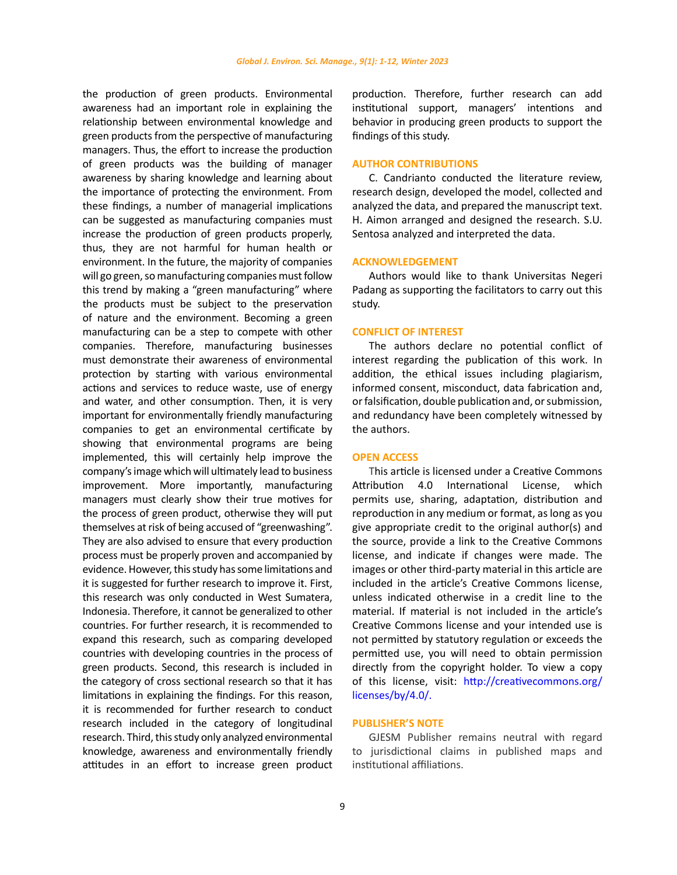the production of green products. Environmental awareness had an important role in explaining the relationship between environmental knowledge and green products from the perspective of manufacturing managers. Thus, the effort to increase the production of green products was the building of manager awareness by sharing knowledge and learning about the importance of protecting the environment. From these findings, a number of managerial implications can be suggested as manufacturing companies must increase the production of green products properly, thus, they are not harmful for human health or environment. In the future, the majority of companies will go green, so manufacturing companies must follow this trend by making a "green manufacturing" where the products must be subject to the preservation of nature and the environment. Becoming a green manufacturing can be a step to compete with other companies. Therefore, manufacturing businesses must demonstrate their awareness of environmental protection by starting with various environmental actions and services to reduce waste, use of energy and water, and other consumption. Then, it is very important for environmentally friendly manufacturing companies to get an environmental certificate by showing that environmental programs are being implemented, this will certainly help improve the company's image which will ultimately lead to business improvement. More importantly, manufacturing managers must clearly show their true motives for the process of green product, otherwise they will put themselves at risk of being accused of "greenwashing". They are also advised to ensure that every production process must be properly proven and accompanied by evidence. However, this study has some limitations and it is suggested for further research to improve it. First, this research was only conducted in West Sumatera, Indonesia. Therefore, it cannot be generalized to other countries. For further research, it is recommended to expand this research, such as comparing developed countries with developing countries in the process of green products. Second, this research is included in the category of cross sectional research so that it has limitations in explaining the findings. For this reason, it is recommended for further research to conduct research included in the category of longitudinal research. Third, this study only analyzed environmental knowledge, awareness and environmentally friendly attitudes in an effort to increase green product production. Therefore, further research can add institutional support, managers' intentions and behavior in producing green products to support the findings of this study.

## **AUTHOR CONTRIBUTIONS**

C. Candrianto conducted the literature review, research design, developed the model, collected and analyzed the data, and prepared the manuscript text. H. Aimon arranged and designed the research. S.U. Sentosa analyzed and interpreted the data.

# **ACKNOWLEDGEMENT**

Authors would like to thank Universitas Negeri Padang as supporting the facilitators to carry out this study.

## **CONFLICT OF INTEREST**

The authors declare no potential conflict of interest regarding the publication of this work. In addition, the ethical issues including plagiarism, informed consent, misconduct, data fabrication and, or falsification, double publication and, or submission, and redundancy have been completely witnessed by the authors.

#### **OPEN ACCESS**

This article is licensed under a Creative Commons Attribution 4.0 International License, which permits use, sharing, adaptation, distribution and reproduction in any medium or format, as long as you give appropriate credit to the original author(s) and the source, provide a link to the Creative Commons license, and indicate if changes were made. The images or other third-party material in this article are included in the article's Creative Commons license, unless indicated otherwise in a credit line to the material. If material is not included in the article's Creative Commons license and your intended use is not permitted by statutory regulation or exceeds the permitted use, you will need to obtain permission directly from the copyright holder. To view a copy of this license, visit: [http://creativecommons.org/](http://creativecommons.org/licenses/by/4.0/) [licenses/by/4.0/](http://creativecommons.org/licenses/by/4.0/).

## **PUBLISHER'S NOTE**

GJESM Publisher remains neutral with regard to jurisdictional claims in published maps and institutional affiliations.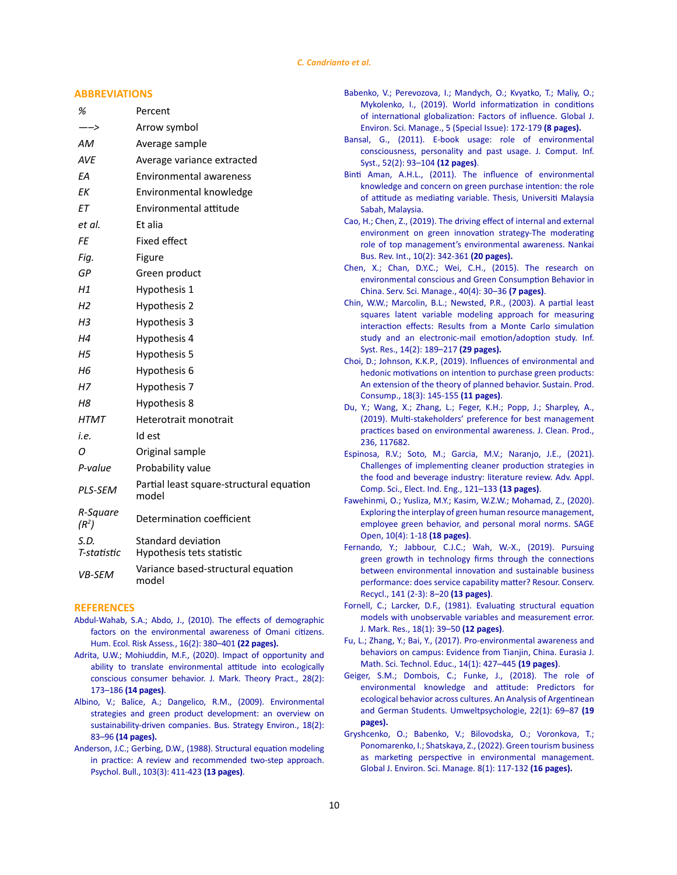### *C. Candrianto et al.*

## <span id="page-9-0"></span>**ABBREVIATIONS**

| %                             | Percent                                           |
|-------------------------------|---------------------------------------------------|
| ——>                           | Arrow symbol                                      |
| АM                            | Average sample                                    |
| <b>AVE</b>                    | Average variance extracted                        |
| ЕA                            | <b>Environmental awareness</b>                    |
| ΕK                            | Environmental knowledge                           |
| EТ                            | Environmental attitude                            |
| et al.                        | Et alia                                           |
| FE                            | Fixed effect                                      |
| Fig.                          | Figure                                            |
| GР                            | Green product                                     |
| Η1                            | Hypothesis 1                                      |
| Н2                            | Hypothesis 2                                      |
| Н3                            | Hypothesis 3                                      |
| Η4                            | Hypothesis 4                                      |
| Η5                            | Hypothesis 5                                      |
| Н6                            | Hypothesis 6                                      |
| Η7                            | Hypothesis 7                                      |
| Η8                            | Hypothesis 8                                      |
| <b>HTMT</b>                   | Heterotrait monotrait                             |
| i.e.                          | Id est                                            |
| Ο                             | Original sample                                   |
| P-value                       | Probability value                                 |
| PLS-SEM                       | Partial least square-structural equation<br>model |
| R-Square<br>(R <sup>2</sup> ) | Determination coefficient                         |
| S.D.<br>T-statistic           | Standard deviation<br>Hypothesis tets statistic   |
| VB-SEM                        | Variance based-structural equation<br>model       |

#### **REFERENCES**

- [Abdul-Wahab, S.A.; Abdo, J., \(2010\). The effects of demographic](https://www.tandfonline.com/doi/abs/10.1080/10807031003670410)  [factors on the environmental awareness of Omani citizens.](https://www.tandfonline.com/doi/abs/10.1080/10807031003670410)  [Hum. Ecol. Risk Assess](https://www.tandfonline.com/doi/abs/10.1080/10807031003670410)*.*, 16(2): 380–401 **(22 pages).**
- Adrita, U.W.; Mohiuddin, M.F., (2020). Impact of opportunity and ability to translate environmental attitude into ecologically conscious consumer behavior. J. Mark. Theory Pract., 28(2): 173–186 **(14 pages)**.
- [Albino, V.; Balice, A.; Dangelico, R.M., \(2009\). Environmental](https://onlinelibrary.wiley.com/doi/10.1002/bse.638)  [strategies and green product development: an overview on](https://onlinelibrary.wiley.com/doi/10.1002/bse.638)  sustainability-driven companies. Bus. Strategy Environ., 18(2): 83–96 **[\(14 pages\).](https://onlinelibrary.wiley.com/doi/10.1002/bse.638)**
- [Anderson, J.C.; Gerbing, D.W., \(1988\). Structural equation modeling](https://psycnet.apa.org/record/1989-14190-001)  [in practice: A review and recommended two-step approach.](https://psycnet.apa.org/record/1989-14190-001)  [Psychol. Bull., 103\(3\): 411-423](https://psycnet.apa.org/record/1989-14190-001) **(13 pages)**.
- [Babenko, V.; Perevozova, I.; Mandych, O.; Kvyatko, T.; Maliy, O.;](https://www.gjesm.net/article_35475.html) [Mykolenko, I., \(2019\). World informatization in conditions](https://www.gjesm.net/article_35475.html) [of international globalization: Factors of influence. Global J.](https://www.gjesm.net/article_35475.html) [Environ. Sci. Manage., 5 \(Special Issue\): 172-179](https://www.gjesm.net/article_35475.html) **(8 pages).**
- [Bansal, G., \(2011\). E-book usage: role of environmental](https://www.tandfonline.com/doi/abs/10.1080/08874417.2011.11645544) [consciousness, personality and past usage. J. Comput. Inf.](https://www.tandfonline.com/doi/abs/10.1080/08874417.2011.11645544) [Syst., 52\(2\): 93–104](https://www.tandfonline.com/doi/abs/10.1080/08874417.2011.11645544) **(12 pages)**[.](file:///G:/Ardavan/GJESM/GJESM%20Files%20No.%2033/3998%20Final/Binti Aman, A.H.L., (2011). The influence of environmental knowledge and concern on green purchase intention: the role of attitude as Mediating Variable. Thesis, Universiti Malaysia Sabah, Malaysia.  https:/www.semanticscholar.org/paper/The-influence-of-e)
- [Binti Aman, A.H.L., \(2011\). The influence of environmental](https://www.semanticscholar.org/paper/The-influence-of-environmental-knowledge-and-on-The-Aman/f4c6d37aee003f5b991280469b59650c8b6c69ac) [knowledge and concern on green purchase intention: the role](https://www.semanticscholar.org/paper/The-influence-of-environmental-knowledge-and-on-The-Aman/f4c6d37aee003f5b991280469b59650c8b6c69ac) [of attitude as mediating variable. Thesis, Universiti Malaysia](https://www.semanticscholar.org/paper/The-influence-of-environmental-knowledge-and-on-The-Aman/f4c6d37aee003f5b991280469b59650c8b6c69ac) [Sabah, Malaysia.](https://www.semanticscholar.org/paper/The-influence-of-environmental-knowledge-and-on-The-Aman/f4c6d37aee003f5b991280469b59650c8b6c69ac)
- [Cao, H.; Chen, Z., \(2019\). The driving effect of internal and external](https://ideas.repec.org/a/eme/nbripp/nbri-05-2018-0028.html) [environment on green innovation strategy-The moderating](https://ideas.repec.org/a/eme/nbripp/nbri-05-2018-0028.html) [role of top management's environmental awareness. Nankai](https://ideas.repec.org/a/eme/nbripp/nbri-05-2018-0028.html) [Bus. Rev. Int., 10\(2\): 342-361](https://ideas.repec.org/a/eme/nbripp/nbri-05-2018-0028.html) **(20 pages).**
- [Chen, X.; Chan, D.Y.C.; Wei, C.H., \(2015\). The research on](https://www.researchgate.net/publication/281926664_The_Research_on_Environmental_Conscious_and_Green_Consumption_Behavior_in_China) [environmental conscious and Green Consumption Behavior in](https://www.researchgate.net/publication/281926664_The_Research_on_Environmental_Conscious_and_Green_Consumption_Behavior_in_China) [China. Serv. Sci. Manage., 40\(4\): 30–36](https://www.researchgate.net/publication/281926664_The_Research_on_Environmental_Conscious_and_Green_Consumption_Behavior_in_China) **(7 pages)**.
- [Chin, W.W.; Marcolin, B.L.; Newsted, P.R., \(2003\). A partial least](https://www.researchgate.net/publication/220079717_A_Partial_Least_Squares_Latent_Variable_Modeling_Approach_for_Measuring_Interaction_Effects_Results_from_a_Monte_Carlo_Simulation_Study_and_an_Electronic-Mail_EmotionAdoption_Study) [squares latent variable modeling approach for measuring](https://www.researchgate.net/publication/220079717_A_Partial_Least_Squares_Latent_Variable_Modeling_Approach_for_Measuring_Interaction_Effects_Results_from_a_Monte_Carlo_Simulation_Study_and_an_Electronic-Mail_EmotionAdoption_Study) [interaction effects: Results from a Monte Carlo simulation](https://www.researchgate.net/publication/220079717_A_Partial_Least_Squares_Latent_Variable_Modeling_Approach_for_Measuring_Interaction_Effects_Results_from_a_Monte_Carlo_Simulation_Study_and_an_Electronic-Mail_EmotionAdoption_Study) [study and an electronic-mail emotion/adoption study. Inf.](https://www.researchgate.net/publication/220079717_A_Partial_Least_Squares_Latent_Variable_Modeling_Approach_for_Measuring_Interaction_Effects_Results_from_a_Monte_Carlo_Simulation_Study_and_an_Electronic-Mail_EmotionAdoption_Study) [Syst. Res., 14\(2\): 189–217](https://www.researchgate.net/publication/220079717_A_Partial_Least_Squares_Latent_Variable_Modeling_Approach_for_Measuring_Interaction_Effects_Results_from_a_Monte_Carlo_Simulation_Study_and_an_Electronic-Mail_EmotionAdoption_Study) **(29 pages).**
- [Choi, D.; Johnson, K.K.P., \(2019\). Influences of environmental and](https://www.sciencedirect.com/science/article/pii/S2352550918303038) [hedonic motivations on intention to purchase green products:](https://www.sciencedirect.com/science/article/pii/S2352550918303038) [An extension of the theory of planned behavior. Sustain. Prod.](https://www.sciencedirect.com/science/article/pii/S2352550918303038) [Consump., 18\(3\): 145-155](https://www.sciencedirect.com/science/article/pii/S2352550918303038) **(11 pages)**.
- [Du, Y.; Wang, X.; Zhang, L.; Feger, K.H.; Popp, J.; Sharpley, A.,](https://www.researchgate.net/publication/334543292_Multi-stakeholders%27_preference_for_best_management_practices_based_on_environmental_awareness) [\(2019\). Multi-stakeholders' preference for best management](https://www.researchgate.net/publication/334543292_Multi-stakeholders%27_preference_for_best_management_practices_based_on_environmental_awareness) [practices based on environmental awareness. J. Clean. Prod.,](https://www.researchgate.net/publication/334543292_Multi-stakeholders%27_preference_for_best_management_practices_based_on_environmental_awareness) [236, 117682.](https://www.researchgate.net/publication/334543292_Multi-stakeholders%27_preference_for_best_management_practices_based_on_environmental_awareness)
- [Espinosa, R.V.; Soto, M.; Garcia, M.V.; Naranjo, J.E., \(2021\).](https://www.researchgate.net/publication/350208272_Challenges_of_Implementing_Cleaner_Production_Strategies_in_the_Food_and_Beverage_Industry_Literature_Review) [Challenges of implementing cleaner production strategies in](https://www.researchgate.net/publication/350208272_Challenges_of_Implementing_Cleaner_Production_Strategies_in_the_Food_and_Beverage_Industry_Literature_Review) [the food and beverage industry: literature review. Adv. Appl.](https://www.researchgate.net/publication/350208272_Challenges_of_Implementing_Cleaner_Production_Strategies_in_the_Food_and_Beverage_Industry_Literature_Review) [Comp. Sci., Elect. Ind. Eng., 121–133](https://www.researchgate.net/publication/350208272_Challenges_of_Implementing_Cleaner_Production_Strategies_in_the_Food_and_Beverage_Industry_Literature_Review) **(13 pages)**.
- [Fawehinmi, O.; Yusliza, M.Y.; Kasim, W.Z.W.; Mohamad, Z., \(2020\).](https://www.researchgate.net/publication/347554696_Exploring_the_Interplay_of_Green_Human_Resource_Management_Employee_Green_Behavior_and_Personal_Moral_Norms) [Exploring the interplay of green human resource management,](https://www.researchgate.net/publication/347554696_Exploring_the_Interplay_of_Green_Human_Resource_Management_Employee_Green_Behavior_and_Personal_Moral_Norms) [employee green behavior, and personal moral norms. SAGE](https://www.researchgate.net/publication/347554696_Exploring_the_Interplay_of_Green_Human_Resource_Management_Employee_Green_Behavior_and_Personal_Moral_Norms) [Open, 10\(4\): 1-18](https://www.researchgate.net/publication/347554696_Exploring_the_Interplay_of_Green_Human_Resource_Management_Employee_Green_Behavior_and_Personal_Moral_Norms) **(18 pages)**.
- [Fernando, Y.; Jabbour, C.J.C.; Wah, W.-X., \(2019\). Pursuing](https://www.semanticscholar.org/paper/Pursuing-green-growth-in-technology-firms-through-Fernando-Jabbour/80b55fdf31df1583c7693cab49ed58771f103504) [green growth in technology firms through the connections](https://www.semanticscholar.org/paper/Pursuing-green-growth-in-technology-firms-through-Fernando-Jabbour/80b55fdf31df1583c7693cab49ed58771f103504) [between environmental innovation and sustainable business](https://www.semanticscholar.org/paper/Pursuing-green-growth-in-technology-firms-through-Fernando-Jabbour/80b55fdf31df1583c7693cab49ed58771f103504) [performance: does service capability matter? Resour. Conserv.](https://www.semanticscholar.org/paper/Pursuing-green-growth-in-technology-firms-through-Fernando-Jabbour/80b55fdf31df1583c7693cab49ed58771f103504) [Recycl., 141 \(2-3\): 8–20](https://www.semanticscholar.org/paper/Pursuing-green-growth-in-technology-firms-through-Fernando-Jabbour/80b55fdf31df1583c7693cab49ed58771f103504) **(13 pages)**.
- [Fornell, C.; Larcker, D.F., \(1981\). Evaluating structural equation](https://journals.sagepub.com/doi/10.1177/002224378101800104) [models with unobservable variables and measurement error.](https://journals.sagepub.com/doi/10.1177/002224378101800104) [J. Mark. Res., 18\(1\): 39–50](https://journals.sagepub.com/doi/10.1177/002224378101800104) **(12 pages)**.
- [Fu, L.; Zhang, Y.; Bai, Y., \(2017\). Pro-environmental awareness and](https://www.ejmste.com/download/pro-environmental-awareness-and-behaviors-on-campus-evidence-from-tianjin-china-5271.pdf) [behaviors on campus: Evidence from Tianjin, China. Eurasia J.](https://www.ejmste.com/download/pro-environmental-awareness-and-behaviors-on-campus-evidence-from-tianjin-china-5271.pdf) [Math. Sci. Technol. Educ., 14\(1\): 427–445](https://www.ejmste.com/download/pro-environmental-awareness-and-behaviors-on-campus-evidence-from-tianjin-china-5271.pdf) **(19 pages)**.
- [Geiger, S.M.; Dombois, C.; Funke, J., \(2018\). The role of](https://www.psychologie.uni-heidelberg.de/ae/allg/mitarb/jf/Geiger etal 2018 ecological behavior across cultures.pdf) [environmental knowledge and attitude: Predictors for](https://www.psychologie.uni-heidelberg.de/ae/allg/mitarb/jf/Geiger etal 2018 ecological behavior across cultures.pdf) [ecological behavior across cultures. An Analysis of Argentinean](https://www.psychologie.uni-heidelberg.de/ae/allg/mitarb/jf/Geiger etal 2018 ecological behavior across cultures.pdf) [and German Students. Umweltpsychologie, 22\(1\): 69–87](https://www.psychologie.uni-heidelberg.de/ae/allg/mitarb/jf/Geiger etal 2018 ecological behavior across cultures.pdf) **(19 [pages\).](https://www.psychologie.uni-heidelberg.de/ae/allg/mitarb/jf/Geiger etal 2018 ecological behavior across cultures.pdf)**
- [Gryshcenko, O.; Babenko, V.; Bilovodska, O.; Voronkova, T.;](https://www.gjesm.net/article_245583_9c7182676f7866f4510558179081e312.pdf) [Ponomarenko, I.; Shatskaya, Z., \(2022\). Green tourism business](https://www.gjesm.net/article_245583_9c7182676f7866f4510558179081e312.pdf) [as marketing perspective in environmental management.](https://www.gjesm.net/article_245583_9c7182676f7866f4510558179081e312.pdf) [Global J. Environ. Sci. Manage. 8\(1\): 117-132](https://www.gjesm.net/article_245583_9c7182676f7866f4510558179081e312.pdf) **(16 pages).**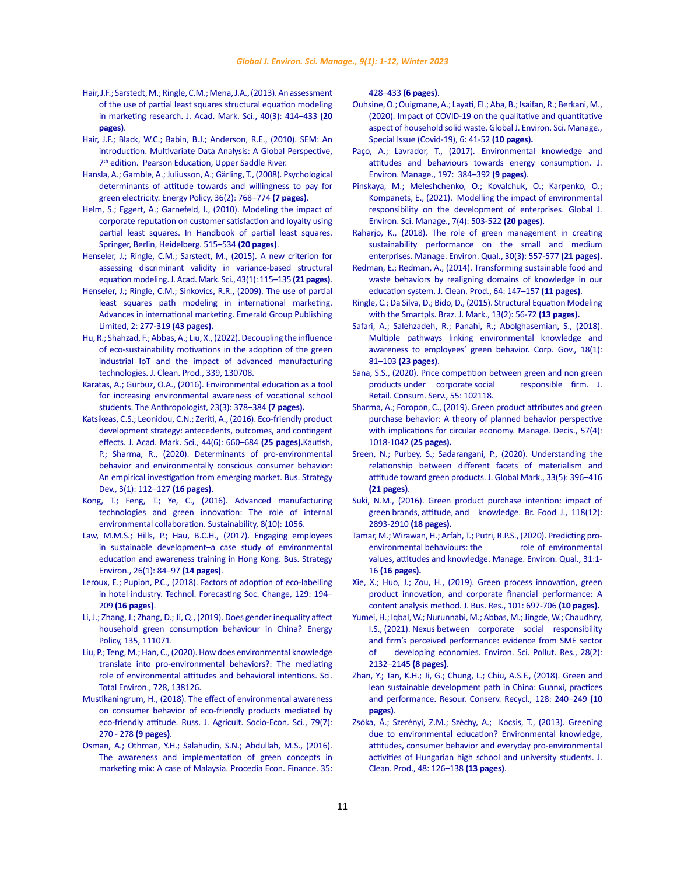- <span id="page-10-0"></span>[Hair, J.F.; Sarstedt, M.; Ringle, C.M.; Mena, J.A., \(2013\). An assessment](https://www.researchgate.net/publication/236033237_An_Assessment_of_the_Use_of_Partial_Least_Squares_Structural_Equation_Modeling_in_Marketing_Research)  [of the use of partial least squares structural equation modeling](https://www.researchgate.net/publication/236033237_An_Assessment_of_the_Use_of_Partial_Least_Squares_Structural_Equation_Modeling_in_Marketing_Research)  [in marketing research. J. Acad. Mark. Sci., 40\(3\): 414–433](https://www.researchgate.net/publication/236033237_An_Assessment_of_the_Use_of_Partial_Least_Squares_Structural_Equation_Modeling_in_Marketing_Research) **(20 [pages\)](https://www.researchgate.net/publication/236033237_An_Assessment_of_the_Use_of_Partial_Least_Squares_Structural_Equation_Modeling_in_Marketing_Research)**.
- [Hair, J.F.; Black, W.C.; Babin, B.J.; Anderson, R.E., \(2010\). SEM: An](https://www.pearson.com/uk/educators/higher-education-educators/program/Hair-Multivariate-Data-Analysis-Global-Edition-7th-Edition/PGM916641.html)  [introduction. Multivariate Data Analysis: A Global Perspective,](https://www.pearson.com/uk/educators/higher-education-educators/program/Hair-Multivariate-Data-Analysis-Global-Edition-7th-Edition/PGM916641.html)  7<sup>th</sup> [edition. Pearson Education, Upper Saddle River.](https://www.pearson.com/uk/educators/higher-education-educators/program/Hair-Multivariate-Data-Analysis-Global-Edition-7th-Edition/PGM916641.html)
- [Hansla, A.; Gamble, A.; Juliusson, A.; Gärling, T., \(2008\). Psychological](https://econpapers.repec.org/article/eeeenepol/v_3a36_3ay_3a2008_3ai_3a2_3ap_3a768-774.htm)  [determinants of attitude towards and willingness to pay for](https://econpapers.repec.org/article/eeeenepol/v_3a36_3ay_3a2008_3ai_3a2_3ap_3a768-774.htm)  [green electricity. Energy Policy, 36\(2\): 768–774](https://econpapers.repec.org/article/eeeenepol/v_3a36_3ay_3a2008_3ai_3a2_3ap_3a768-774.htm) **(7 pages)**.
- [Helm, S.; Eggert, A.; Garnefeld, I., \(2010\). Modeling the impact of](https://www.econbiz.de/Record/modeling-the-impact-of-corporate-reputation-on-customer-satisfaction-and-loyalty-using-partial-least-squares-helm-sabrina/10003944665)  [corporate reputation on customer satisfaction and loyalty using](https://www.econbiz.de/Record/modeling-the-impact-of-corporate-reputation-on-customer-satisfaction-and-loyalty-using-partial-least-squares-helm-sabrina/10003944665)  [partial least squares. In Handbook of partial least squares.](https://www.econbiz.de/Record/modeling-the-impact-of-corporate-reputation-on-customer-satisfaction-and-loyalty-using-partial-least-squares-helm-sabrina/10003944665)  [Springer, Berlin, Heidelberg. 515–534](https://www.econbiz.de/Record/modeling-the-impact-of-corporate-reputation-on-customer-satisfaction-and-loyalty-using-partial-least-squares-helm-sabrina/10003944665) **(20 pages)**.
- [Henseler, J.; Ringle, C.M.; Sarstedt, M., \(2015\). A new criterion for](https://link.springer.com/content/pdf/10.1007/s11747-014-0403-8.pdf)  [assessing discriminant validity in variance-based structural](https://link.springer.com/content/pdf/10.1007/s11747-014-0403-8.pdf)  [equation modeling. J. Acad. Mark. Sci., 43\(1\): 115–135](https://link.springer.com/content/pdf/10.1007/s11747-014-0403-8.pdf) **(21 pages)**.
- [Henseler, J.; Ringle, C.M.; Sinkovics, R.R., \(2009\). The use of partial](https://www.researchgate.net/publication/229892421_The_Use_of_Partial_Least_Squares_Path_Modeling_in_International_Marketing)  [least squares path modeling in international marketing.](https://www.researchgate.net/publication/229892421_The_Use_of_Partial_Least_Squares_Path_Modeling_in_International_Marketing)  [Advances in international marketing. Emerald Group Publishing](https://www.researchgate.net/publication/229892421_The_Use_of_Partial_Least_Squares_Path_Modeling_in_International_Marketing)  [Limited, 2: 277-319](https://www.researchgate.net/publication/229892421_The_Use_of_Partial_Least_Squares_Path_Modeling_in_International_Marketing) **(43 pages).**
- [Hu, R.; Shahzad, F.; Abbas, A.; Liu, X., \(2022\). Decoupling the influence](https://www.sciencedirect.com/science/article/abs/pii/S095965262200347X)  [of eco-sustainability motivations in the adoption of the green](https://www.sciencedirect.com/science/article/abs/pii/S095965262200347X)  [industrial IoT and the impact of advanced manufacturing](https://www.sciencedirect.com/science/article/abs/pii/S095965262200347X)  [technologies. J. Clean. Prod., 339, 130708.](https://www.sciencedirect.com/science/article/abs/pii/S095965262200347X)
- [Karatas, A.; Gürbüz, O.A., \(2016\). Environmental education as a tool](https://www.tandfonline.com/doi/abs/10.1080/09720073.2014.11891958)  [for increasing environmental awareness of vocational school](https://www.tandfonline.com/doi/abs/10.1080/09720073.2014.11891958)  [students. The Anthropologist, 23\(3\): 378–384](https://www.tandfonline.com/doi/abs/10.1080/09720073.2014.11891958) **(7 pages).**
- [Katsikeas, C.S.; Leonidou, C.N.; Zeriti, A., \(2016\). Eco-friendly product](https://link.springer.com/article/10.1007/s11747-015-0470-5)  [development strategy: antecedents, outcomes, and contingent](https://link.springer.com/article/10.1007/s11747-015-0470-5)  [effects. J. Acad. Mark. Sci., 44\(6\): 660–684](https://link.springer.com/article/10.1007/s11747-015-0470-5) **(25 pages).**[Kautish,](https://onlinelibrary.wiley.com/doi/abs/10.1002/bsd2.82)  [P.; Sharma, R., \(2020\). Determinants of pro‐environmental](https://onlinelibrary.wiley.com/doi/abs/10.1002/bsd2.82)  [behavior and environmentally conscious consumer behavior:](https://onlinelibrary.wiley.com/doi/abs/10.1002/bsd2.82)  [An empirical investigation from emerging market. Bus. Strategy](https://onlinelibrary.wiley.com/doi/abs/10.1002/bsd2.82)  [Dev., 3\(1\): 112–127](https://onlinelibrary.wiley.com/doi/abs/10.1002/bsd2.82) **(16 pages)**.
- [Kong, T.; Feng, T.; Ye, C., \(2016\). Advanced manufacturing](https://www.mdpi.com/2071-1050/8/10/1056)  [technologies and green innovation: The role of internal](https://www.mdpi.com/2071-1050/8/10/1056)  [environmental collaboration. Sustainability, 8\(10\): 1056.](https://www.mdpi.com/2071-1050/8/10/1056)
- Law, M.M.S.; Hills, P.; Hau, B.C.H., (2017). Engaging employees [in sustainable development–a case study of environmental](https://onlinelibrary.wiley.com/doi/abs/10.1002/bse.1903)  [education and awareness training in Hong Kong. Bus. Strategy](https://onlinelibrary.wiley.com/doi/abs/10.1002/bse.1903)  [Environ., 26\(1\): 84–97](https://onlinelibrary.wiley.com/doi/abs/10.1002/bse.1903) **(14 pages)**.
- [Leroux, E.; Pupion, P.C., \(2018\). Factors of adoption of eco-labelling](https://ideas.repec.org/a/eee/tefoso/v129y2018icp194-209.html)  [in hotel industry. Technol. Forecasting Soc. Change, 129: 194–](https://ideas.repec.org/a/eee/tefoso/v129y2018icp194-209.html) 209 **[\(16 pages\)](https://ideas.repec.org/a/eee/tefoso/v129y2018icp194-209.html)**.
- [Li, J.; Zhang, J.; Zhang, D.; Ji, Q., \(2019\). Does gender inequality affect](https://www.sciencedirect.com/science/article/abs/pii/S0301421519306585)  [household green consumption behaviour in China? Energy](https://www.sciencedirect.com/science/article/abs/pii/S0301421519306585)  [Policy, 135, 111071.](https://www.sciencedirect.com/science/article/abs/pii/S0301421519306585)
- [Liu, P.; Teng, M.; Han, C., \(2020\). How does environmental knowledge](https://www.sciencedirect.com/science/article/abs/pii/S0048969720316399)  [translate into pro-environmental behaviors?: The mediating](https://www.sciencedirect.com/science/article/abs/pii/S0048969720316399)  [role of environmental attitudes and behavioral intentions. Sci.](https://www.sciencedirect.com/science/article/abs/pii/S0048969720316399)  [Total Environ., 728, 138126.](https://www.sciencedirect.com/science/article/abs/pii/S0048969720316399)
- [Mustikaningrum, H., \(2018\). The effect of environmental awareness](https://cyberleninka.ru/article/n/the-effect-of-environmental-awareness-on-consumer-behavior-of-eco-friendly-products-mediated-by-eco-friendly-attitude/viewer)  [on consumer behavior of eco-friendly products mediated by](https://cyberleninka.ru/article/n/the-effect-of-environmental-awareness-on-consumer-behavior-of-eco-friendly-products-mediated-by-eco-friendly-attitude/viewer)  [eco-friendly attitude. Russ. J. Agricult. Socio-Econ. Sci., 79\(7\):](https://cyberleninka.ru/article/n/the-effect-of-environmental-awareness-on-consumer-behavior-of-eco-friendly-products-mediated-by-eco-friendly-attitude/viewer)  [270 - 278](https://cyberleninka.ru/article/n/the-effect-of-environmental-awareness-on-consumer-behavior-of-eco-friendly-products-mediated-by-eco-friendly-attitude/viewer) **(9 pages)**.
- [Osman, A.; Othman, Y.H.; Salahudin, S.N.; Abdullah, M.S., \(2016\).](https://dspace.adu.ac.ae/handle/1/2091)  [The awareness and implementation of green concepts in](https://dspace.adu.ac.ae/handle/1/2091)  [marketing mix: A case of Malaysia. Procedia Econ. Finance. 35:](https://dspace.adu.ac.ae/handle/1/2091)

## 428–433 **[\(6 pages\)](https://dspace.adu.ac.ae/handle/1/2091)**.

- [Ouhsine, O.; Ouigmane, A.; Layati, El.; Aba, B.; Isaifan, R.; Berkani, M.,](https://www.gjesm.net/article_39822.html) [\(2020\). Impact of COVID-19 on the qualitative and quantitative](https://www.gjesm.net/article_39822.html) [aspect of household solid waste. Global J. Environ. Sci. Manage.,](https://www.gjesm.net/article_39822.html) [Special Issue \(Covid-19\), 6: 41-52](https://www.gjesm.net/article_39822.html) **(10 pages).**
- Paco, A.; Lavrador, T., (2017). Environmental knowledge and [attitudes and behaviours towards energy consumption. J.](https://pubmed.ncbi.nlm.nih.gov/28410516/) [Environ. Manage., 197: 384–392](https://pubmed.ncbi.nlm.nih.gov/28410516/) **(9 pages)**.
- [Pinskaya, M.; Meleshchenko, O.; Kovalchuk, O.; Karpenko, O.;](https://www.gjesm.net/article_243912_625b4d8e9bc649e40314b1986cee90bf.pdf) [Kompanets, E., \(2021\). Modelling the impact of environmental](https://www.gjesm.net/article_243912_625b4d8e9bc649e40314b1986cee90bf.pdf) [responsibility on the development of enterprises. Global J.](https://www.gjesm.net/article_243912_625b4d8e9bc649e40314b1986cee90bf.pdf) [Environ. Sci. Manage., 7\(4\): 503-522](https://www.gjesm.net/article_243912_625b4d8e9bc649e40314b1986cee90bf.pdf) **(20 pages)**.
- [Raharjo, K., \(2018\). The role of green management in creating](https://www.emerald.com/insight/content/doi/10.1108/MEQ-03-2018-0053/full/html) [sustainability performance on the small and medium](https://www.emerald.com/insight/content/doi/10.1108/MEQ-03-2018-0053/full/html) [enterprises. Manage. Environ. Qual., 30\(3\): 557-577](https://www.emerald.com/insight/content/doi/10.1108/MEQ-03-2018-0053/full/html) **(21 pages).**
- [Redman, E.; Redman, A., \(2014\). Transforming sustainable food and](https://www.sciencedirect.com/science/article/abs/pii/S0959652613006197) [waste behaviors by realigning domains of knowledge in our](https://www.sciencedirect.com/science/article/abs/pii/S0959652613006197) [education system. J. Clean. Prod., 64: 147–157](https://www.sciencedirect.com/science/article/abs/pii/S0959652613006197) **(11 pages)**.
- [Ringle, C.; Da Silva, D.; Bido, D., \(2015\). Structural Equation Modeling](https://www.researchgate.net/publication/281448905_STRUCTURAL_EQUATION_MODELING_WITH_THE_SMARTPLS) [with the Smartpls. Braz. J. Mark., 13\(2\): 56-72](https://www.researchgate.net/publication/281448905_STRUCTURAL_EQUATION_MODELING_WITH_THE_SMARTPLS) **(13 pages).**
- [Safari, A.; Salehzadeh, R.; Panahi, R.; Abolghasemian, S., \(2018\).](https://www.emerald.com/insight/content/doi/10.1108/CG-08-2016-0168/full/html) [Multiple pathways linking environmental knowledge and](https://www.emerald.com/insight/content/doi/10.1108/CG-08-2016-0168/full/html) [awareness to employees' green behavior. Corp. Gov., 18\(1\):](https://www.emerald.com/insight/content/doi/10.1108/CG-08-2016-0168/full/html) 81–103 **[\(23 pages\)](https://www.emerald.com/insight/content/doi/10.1108/CG-08-2016-0168/full/html)**.
- [Sana, S.S., \(2020\). Price competition between green and non green](https://www.researchgate.net/publication/341054524_Price_competition_between_green_and_non_green_products_under_corporate_social_responsible_firm) [products under corporate social](https://www.researchgate.net/publication/341054524_Price_competition_between_green_and_non_green_products_under_corporate_social_responsible_firm) responsible firm. J. [Retail. Consum. Serv., 55: 102118.](https://www.researchgate.net/publication/341054524_Price_competition_between_green_and_non_green_products_under_corporate_social_responsible_firm)
- [Sharma, A.; Foropon, C., \(2019\). Green product attributes and green](https://www.emerald.com/insight/content/doi/10.1108/MD-10-2018-1092/full/html) [purchase behavior: A theory of planned behavior perspective](https://www.emerald.com/insight/content/doi/10.1108/MD-10-2018-1092/full/html) [with implications for circular economy. Manage. Decis., 57\(4\):](https://www.emerald.com/insight/content/doi/10.1108/MD-10-2018-1092/full/html) [1018-1042](https://www.emerald.com/insight/content/doi/10.1108/MD-10-2018-1092/full/html) **(25 pages).**
- Sreen, N.; Purbey, S.; Sadarangani, P., (2020). Understanding the relationship between different facets of materialism and attitude toward green products. J. Global Mark., 33(5): 396–416 **(21 pages)**.
- [Suki, N.M., \(2016\). Green product purchase intention: impact of](https://www.emerald.com/insight/content/doi/10.1108/BFJ-06-2016-0295/full/html) [green brands, attitude, and knowledge. Br. Food J., 118\(12\):](https://www.emerald.com/insight/content/doi/10.1108/BFJ-06-2016-0295/full/html) 2893-2910 **[\(18 pages\).](https://www.emerald.com/insight/content/doi/10.1108/BFJ-06-2016-0295/full/html)**
- [Tamar, M.; Wirawan, H.; Arfah, T.; Putri, R.P.S., \(2020\). Predicting pro](http://repository.unhas.ac.id/id/eprint/4757/1/22. Tamar, Wirawan, Arfah, and Putri 2020.pdf)[environmental behaviours: the](http://repository.unhas.ac.id/id/eprint/4757/1/22. Tamar, Wirawan, Arfah, and Putri 2020.pdf) role of environmental [values, attitudes and knowledge. Manage. Environ. Qual., 31:1-](http://repository.unhas.ac.id/id/eprint/4757/1/22. Tamar, Wirawan, Arfah, and Putri 2020.pdf) 16 **[\(16 pages\).](http://repository.unhas.ac.id/id/eprint/4757/1/22. Tamar, Wirawan, Arfah, and Putri 2020.pdf)**
- [Xie, X.; Huo, J.; Zou, H., \(2019\). Green process innovation, green](https://www.sciencedirect.com/science/article/abs/pii/S0148296319300098) [product innovation, and corporate financial performance: A](https://www.sciencedirect.com/science/article/abs/pii/S0148296319300098) [content analysis method. J. Bus. Res., 101: 697-706](https://www.sciencedirect.com/science/article/abs/pii/S0148296319300098) **(10 pages).**
- [Yumei, H.; Iqbal, W.; Nurunnabi, M.; Abbas, M.; Jingde, W.; Chaudhry,](https://pubmed.ncbi.nlm.nih.gov/32875447/) [I.S., \(2021\). Nexus between corporate social responsibility](https://pubmed.ncbi.nlm.nih.gov/32875447/) [and firm's perceived performance: evidence from SME sector](https://pubmed.ncbi.nlm.nih.gov/32875447/) [of developing economies. Environ. Sci. Pollut. Res., 28\(2\):](https://pubmed.ncbi.nlm.nih.gov/32875447/) [2132–2145](https://pubmed.ncbi.nlm.nih.gov/32875447/) **(8 pages)**.
- [Zhan, Y.; Tan, K.H.; Ji, G.; Chung, L.; Chiu, A.S.F., \(2018\). Green and](https://daneshyari.com/article/preview/7494678.pdf) [lean sustainable development path in China: Guanxi, practices](https://daneshyari.com/article/preview/7494678.pdf) [and performance. Resour. Conserv. Recycl., 128: 240–249](https://daneshyari.com/article/preview/7494678.pdf) **(10 [pages\)](https://daneshyari.com/article/preview/7494678.pdf)**.
- [Zsóka, Á.; Szerényi, Z.M.; Széchy, A.; Kocsis, T., \(2013\). Greening](https://pubag.nal.usda.gov/catalog/1005662) [due to environmental education? Environmental knowledge,](https://pubag.nal.usda.gov/catalog/1005662) [attitudes, consumer behavior and everyday pro-environmental](https://pubag.nal.usda.gov/catalog/1005662) [activities of Hungarian high school and university students. J.](https://pubag.nal.usda.gov/catalog/1005662) [Clean. Prod., 48: 126–138](https://pubag.nal.usda.gov/catalog/1005662) **(13 pages)**.